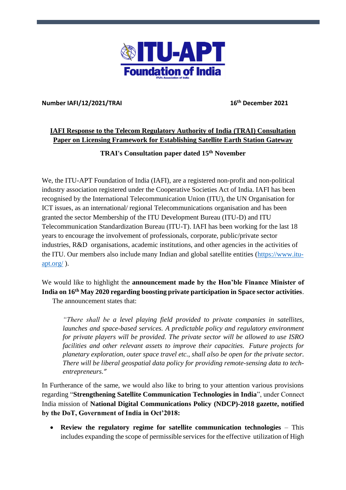

#### **Number IAFI/12/2021/TRAI 16**

**th December 2021**

# **IAFI Response to the Telecom Regulatory Authority of India (TRAI) Consultation Paper on Licensing Framework for Establishing Satellite Earth Station Gateway**

**TRAI's Consultation paper dated 15th November**

We, the ITU-APT Foundation of India (IAFI), are a registered non-profit and non-political industry association registered under the Cooperative Societies Act of India. IAFI has been recognised by the International Telecommunication Union (ITU), the UN Organisation for ICT issues, as an international/ regional Telecommunications organisation and has been granted the sector Membership of the ITU Development Bureau (ITU-D) and ITU Telecommunication Standardization Bureau (ITU-T). IAFI has been working for the last 18 years to encourage the involvement of professionals, corporate, public/private sector industries, R&D organisations, academic institutions, and other agencies in the activities of the ITU. Our members also include many Indian and global satellite entities (https://www.ituapt.org/ ).

# We would like to highlight the **announcement made by the Hon'ble Finance Minister of India on 16th May 2020 regarding boosting private participation in Space sector activities**.

The announcement states that:

*"There shall be a level playing field provided to private companies in satellites, launches and space-based services. A predictable policy and regulatory environment for private players will be provided. The private sector will be allowed to use ISRO facilities and other relevant assets to improve their capacities. Future projects for planetary exploration, outer space travel etc., shall also be open for the private sector. There will be liberal geospatial data policy for providing remote-sensing data to techentrepreneurs."*

In Furtherance of the same, we would also like to bring to your attention various provisions regarding "**Strengthening Satellite Communication Technologies in India**", under Connect India mission of **National Digital Communications Policy (NDCP)-2018 gazette, notified by the DoT, Government of India in Oct'2018:**

• **Review the regulatory regime for satellite communication technologies** – This includes expanding the scope of permissible services for the effective utilization of High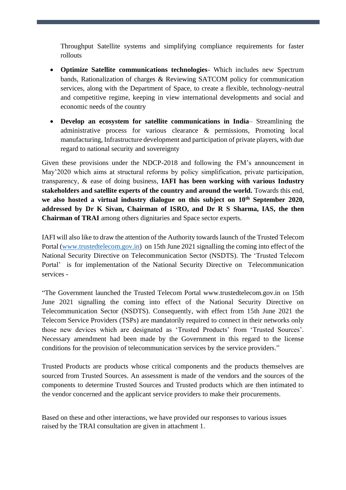Throughput Satellite systems and simplifying compliance requirements for faster rollouts

- **Optimize Satellite communications technologies** Which includes new Spectrum bands, Rationalization of charges & Reviewing SATCOM policy for communication services, along with the Department of Space, to create a flexible, technology-neutral and competitive regime, keeping in view international developments and social and economic needs of the country
- **Develop an ecosystem for satellite communications in India** Streamlining the administrative process for various clearance & permissions, Promoting local manufacturing, Infrastructure development and participation of private players, with due regard to national security and sovereignty

Given these provisions under the NDCP-2018 and following the FM's announcement in May'2020 which aims at structural reforms by policy simplification, private participation, transparency, & ease of doing business, **IAFI has been working with various Industry stakeholders and satellite experts of the country and around the world.** Towards this end, **we also hosted a virtual industry dialogue on this subject on 10th September 2020, addressed by Dr K Sivan, Chairman of ISRO, and Dr R S Sharma, IAS, the then Chairman of TRAI** among others dignitaries and Space sector experts.

IAFI will also like to draw the attention of the Authority towards launch of the Trusted Telecom Portal [\(www.trustedtelecom.gov.in\)](http://www.trustedtelecom.gov.in/) on 15th June 2021 signalling the coming into effect of the National Security Directive on Telecommunication Sector (NSDTS). The 'Trusted Telecom Portal' is for implementation of the National Security Directive on Telecommunication services -

"The Government launched the Trusted Telecom Portal www.trustedtelecom.gov.in on 15th June 2021 signalling the coming into effect of the National Security Directive on Telecommunication Sector (NSDTS). Consequently, with effect from 15th June 2021 the Telecom Service Providers (TSPs) are mandatorily required to connect in their networks only those new devices which are designated as 'Trusted Products' from 'Trusted Sources'. Necessary amendment had been made by the Government in this regard to the license conditions for the provision of telecommunication services by the service providers."

Trusted Products are products whose critical components and the products themselves are sourced from Trusted Sources. An assessment is made of the vendors and the sources of the components to determine Trusted Sources and Trusted products which are then intimated to the vendor concerned and the applicant service providers to make their procurements.

Based on these and other interactions, we have provided our responses to various issues raised by the TRAI consultation are given in attachment 1.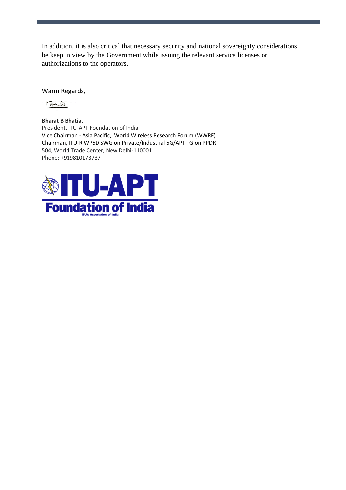In addition, it is also critical that necessary security and national sovereignty considerations be keep in view by the Government while issuing the relevant service licenses or authorizations to the operators.

Warm Regards,

Bud

**Bharat B Bhatia,** President, ITU-APT Foundation of India Vice Chairman - Asia Pacific, World Wireless Research Forum (WWRF) Chairman, ITU-R WP5D SWG on Private/Industrial 5G/APT TG on PPDR 504, World Trade Center, New Delhi-110001 Phone: +919810173737

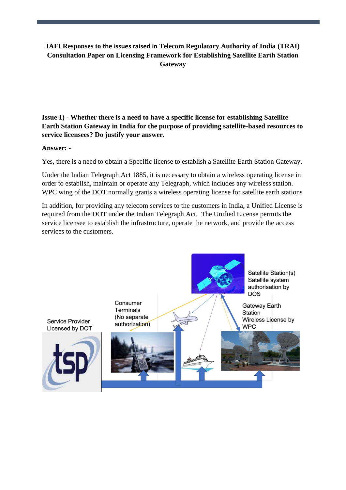# **IAFI Responses to the issues raised in Telecom Regulatory Authority of India (TRAI) Consultation Paper on Licensing Framework for Establishing Satellite Earth Station Gateway**

**Issue 1) - Whether there is a need to have a specific license for establishing Satellite Earth Station Gateway in India for the purpose of providing satellite-based resources to service licensees? Do justify your answer.**

#### **Answer: -**

Yes, there is a need to obtain a Specific license to establish a Satellite Earth Station Gateway.

Under the Indian Telegraph Act 1885, it is necessary to obtain a wireless operating license in order to establish, maintain or operate any Telegraph, which includes any wireless station. WPC wing of the DOT normally grants a wireless operating license for satellite earth stations

In addition, for providing any telecom services to the customers in India, a Unified License is required from the DOT under the Indian Telegraph Act. The Unified License permits the service licensee to establish the infrastructure, operate the network, and provide the access services to the customers.

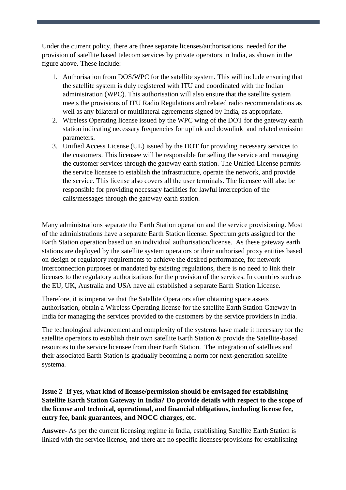Under the current policy, there are three separate licenses/authorisations needed for the provision of satellite based telecom services by private operators in India, as shown in the figure above. These include:

- 1. Authorisation from DOS/WPC for the satellite system. This will include ensuring that the satellite system is duly registered with ITU and coordinated with the Indian administration (WPC). This authorisation will also ensure that the satellite system meets the provisions of ITU Radio Regulations and related radio recommendations as well as any bilateral or multilateral agreements signed by India, as appropriate.
- 2. Wireless Operating license issued by the WPC wing of the DOT for the gateway earth station indicating necessary frequencies for uplink and downlink and related emission parameters.
- 3. Unified Access License (UL) issued by the DOT for providing necessary services to the customers. This licensee will be responsible for selling the service and managing the customer services through the gateway earth station. The Unified License permits the service licensee to establish the infrastructure, operate the network, and provide the service. This license also covers all the user terminals. The licensee will also be responsible for providing necessary facilities for lawful interception of the calls/messages through the gateway earth station.

Many administrations separate the Earth Station operation and the service provisioning. Most of the administrations have a separate Earth Station license. Spectrum gets assigned for the Earth Station operation based on an individual authorisation/license. As these gateway earth stations are deployed by the satellite system operators or their authorised proxy entities based on design or regulatory requirements to achieve the desired performance, for network interconnection purposes or mandated by existing regulations, there is no need to link their licenses to the regulatory authorizations for the provision of the services. In countries such as the EU, UK, Australia and USA have all established a separate Earth Station License.

Therefore, it is imperative that the Satellite Operators after obtaining space assets authorisation, obtain a Wireless Operating license for the satellite Earth Station Gateway in India for managing the services provided to the customers by the service providers in India.

The technological advancement and complexity of the systems have made it necessary for the satellite operators to establish their own satellite Earth Station & provide the Satellite-based resources to the service licensee from their Earth Station. The integration of satellites and their associated Earth Station is gradually becoming a norm for next-generation satellite systema.

# **Issue 2- If yes, what kind of license/permission should be envisaged for establishing Satellite Earth Station Gateway in India? Do provide details with respect to the scope of the license and technical, operational, and financial obligations, including license fee, entry fee, bank guarantees, and NOCC charges, etc.**

**Answer-** As per the current licensing regime in India, establishing Satellite Earth Station is linked with the service license, and there are no specific licenses/provisions for establishing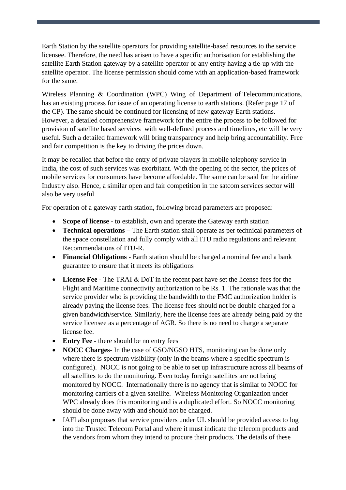Earth Station by the satellite operators for providing satellite-based resources to the service licensee. Therefore, the need has arisen to have a specific authorisation for establishing the satellite Earth Station gateway by a satellite operator or any entity having a tie-up with the satellite operator. The license permission should come with an application-based framework for the same.

Wireless Planning & Coordination (WPC) Wing of Department of Telecommunications, has an existing process for issue of an operating license to earth stations. (Refer page 17 of the CP). The same should be continued for licensing of new gateway Earth stations. However, a detailed comprehensive framework for the entire the process to be followed for provision of satellite based services with well-defined process and timelines, etc will be very useful. Such a detailed framework will bring transparency and help bring accountability. Free and fair competition is the key to driving the prices down.

It may be recalled that before the entry of private players in mobile telephony service in India, the cost of such services was exorbitant. With the opening of the sector, the prices of mobile services for consumers have become affordable. The same can be said for the airline Industry also. Hence, a similar open and fair competition in the satcom services sector will also be very useful

For operation of a gateway earth station, following broad parameters are proposed:

- **Scope of license** to establish, own and operate the Gateway earth station
- **Technical operations** The Earth station shall operate as per technical parameters of the space constellation and fully comply with all ITU radio regulations and relevant Recommendations of ITU-R.
- **Financial Obligations** Earth station should be charged a nominal fee and a bank guarantee to ensure that it meets its obligations
- **License Fee** The TRAI & DoT in the recent past have set the license fees for the Flight and Maritime connectivity authorization to be Rs. 1. The rationale was that the service provider who is providing the bandwidth to the FMC authorization holder is already paying the license fees. The license fees should not be double charged for a given bandwidth/service. Similarly, here the license fees are already being paid by the service licensee as a percentage of AGR. So there is no need to charge a separate license fee.
- **Entry Fee**  there should be no entry fees
- **NOCC Charges** In the case of GSO/NGSO HTS, monitoring can be done only where there is spectrum visibility (only in the beams where a specific spectrum is configured). NOCC is not going to be able to set up infrastructure across all beams of all satellites to do the monitoring. Even today foreign satellites are not being monitored by NOCC. Internationally there is no agency that is similar to NOCC for monitoring carriers of a given satellite. Wireless Monitoring Organization under WPC already does this monitoring and is a duplicated effort. So NOCC monitoring should be done away with and should not be charged.
- IAFI also proposes that service providers under UL should be provided access to log into the Trusted Telecom Portal and where it must indicate the telecom products and the vendors from whom they intend to procure their products. The details of these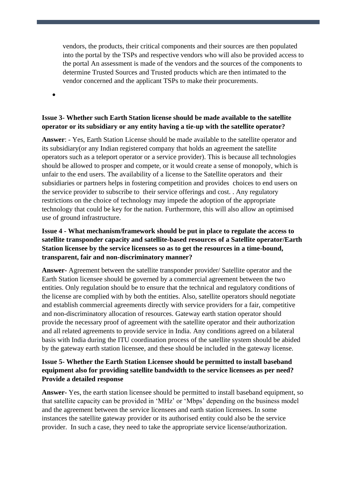vendors, the products, their critical components and their sources are then populated into the portal by the TSPs and respective vendors who will also be provided access to the portal An assessment is made of the vendors and the sources of the components to determine Trusted Sources and Trusted products which are then intimated to the vendor concerned and the applicant TSPs to make their procurements.

•

# **Issue 3- Whether such Earth Station license should be made available to the satellite operator or its subsidiary or any entity having a tie-up with the satellite operator?**

**Answer**: - Yes, Earth Station License should be made available to the satellite operator and its subsidiary(or any Indian registered company that holds an agreement the satellite operators such as a teleport operator or a service provider). This is because all technologies should be allowed to prosper and compete, or it would create a sense of monopoly, which is unfair to the end users. The availability of a license to the Satellite operators and their subsidiaries or partners helps in fostering competition and provides choices to end users on the service provider to subscribe to their service offerings and cost. . Any regulatory restrictions on the choice of technology may impede the adoption of the appropriate technology that could be key for the nation. Furthermore, this will also allow an optimised use of ground infrastructure.

# **Issue 4 - What mechanism/framework should be put in place to regulate the access to satellite transponder capacity and satellite-based resources of a Satellite operator/Earth Station licensee by the service licensees so as to get the resources in a time-bound, transparent, fair and non-discriminatory manner?**

**Answer-** Agreement between the satellite transponder provider/ Satellite operator and the Earth Station licensee should be governed by a commercial agreement between the two entities. Only regulation should be to ensure that the technical and regulatory conditions of the license are complied with by both the entities. Also, satellite operators should negotiate and establish commercial agreements directly with service providers for a fair, competitive and non-discriminatory allocation of resources. Gateway earth station operator should provide the necessary proof of agreement with the satellite operator and their authorization and all related agreements to provide service in India. Any conditions agreed on a bilateral basis with India during the ITU coordination process of the satellite system should be abided by the gateway earth station licensee, and these should be included in the gateway license.

# **Issue 5- Whether the Earth Station Licensee should be permitted to install baseband equipment also for providing satellite bandwidth to the service licensees as per need? Provide a detailed response**

**Answer-** Yes, the earth station licensee should be permitted to install baseband equipment, so that satellite capacity can be provided in 'MHz' or 'Mbps' depending on the business model and the agreement between the service licensees and earth station licensees. In some instances the satellite gateway provider or its authorised entity could also be the service provider. In such a case, they need to take the appropriate service license/authorization.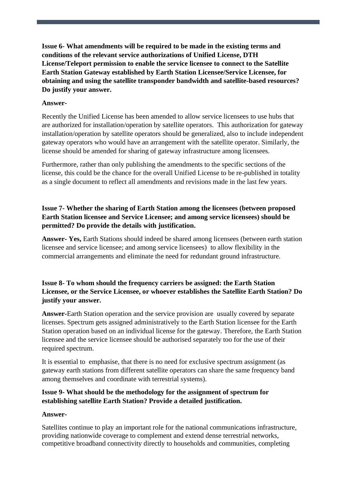**Issue 6- What amendments will be required to be made in the existing terms and conditions of the relevant service authorizations of Unified License, DTH License/Teleport permission to enable the service licensee to connect to the Satellite Earth Station Gateway established by Earth Station Licensee/Service Licensee, for obtaining and using the satellite transponder bandwidth and satellite-based resources? Do justify your answer.**

#### **Answer-**

Recently the Unified License has been amended to allow service licensees to use hubs that are authorized for installation/operation by satellite operators. This authorization for gateway installation/operation by satellite operators should be generalized, also to include independent gateway operators who would have an arrangement with the satellite operator. Similarly, the license should be amended for sharing of gateway infrastructure among licensees.

Furthermore, rather than only publishing the amendments to the specific sections of the license, this could be the chance for the overall Unified License to be re-published in totality as a single document to reflect all amendments and revisions made in the last few years.

# **Issue 7- Whether the sharing of Earth Station among the licensees (between proposed Earth Station licensee and Service Licensee; and among service licensees) should be permitted? Do provide the details with justification.**

**Answer- Yes,** Earth Stations should indeed be shared among licensees (between earth station licensee and service licensee; and among service licensees) to allow flexibility in the commercial arrangements and eliminate the need for redundant ground infrastructure.

# **Issue 8- To whom should the frequency carriers be assigned: the Earth Station Licensee, or the Service Licensee, or whoever establishes the Satellite Earth Station? Do justify your answer.**

**Answer-**Earth Station operation and the service provision are usually covered by separate licenses. Spectrum gets assigned administratively to the Earth Station licensee for the Earth Station operation based on an individual license for the gateway. Therefore, the Earth Station licensee and the service licensee should be authorised separately too for the use of their required spectrum.

It is essential to emphasise, that there is no need for exclusive spectrum assignment (as gateway earth stations from different satellite operators can share the same frequency band among themselves and coordinate with terrestrial systems).

# **Issue 9- What should be the methodology for the assignment of spectrum for establishing satellite Earth Station? Provide a detailed justification.**

#### **Answer-**

Satellites continue to play an important role for the national communications infrastructure, providing nationwide coverage to complement and extend dense terrestrial networks, competitive broadband connectivity directly to households and communities, completing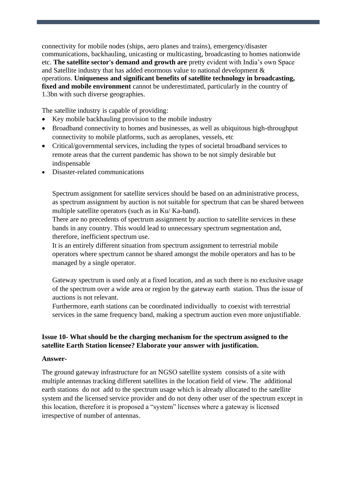connectivity for mobile nodes (ships, aero planes and trains), emergency/disaster communications, backhauling, unicasting or multicasting, broadcasting to homes nationwide etc. **The satellite sector's demand and growth are** pretty evident with India's own Space and Satellite industry that has added enormous value to national development & operations. **Uniqueness and significant benefits of satellite technology in broadcasting, fixed and mobile environment** cannot be underestimated, particularly in the country of 1.3bn with such diverse geographies.

The satellite industry is capable of providing:

- Key mobile backhauling provision to the mobile industry
- Broadband connectivity to homes and businesses, as well as ubiquitous high-throughput connectivity to mobile platforms, such as aeroplanes, vessels, etc
- Critical/governmental services, including the types of societal broadband services to remote areas that the current pandemic has shown to be not simply desirable but indispensable
- Disaster-related communications

Spectrum assignment for satellite services should be based on an administrative process, as spectrum assignment by auction is not suitable for spectrum that can be shared between multiple satellite operators (such as in Ku/ Ka-band).

There are no precedents of spectrum assignment by auction to satellite services in these bands in any country. This would lead to unnecessary spectrum segmentation and, therefore, inefficient spectrum use.

It is an entirely different situation from spectrum assignment to terrestrial mobile operators where spectrum cannot be shared amongst the mobile operators and has to be managed by a single operator.

Gateway spectrum is used only at a fixed location, and as such there is no exclusive usage of the spectrum over a wide area or region by the gateway earth station. Thus the issue of auctions is not relevant.

Furthermore, earth stations can be coordinated individually to coexist with terrestrial services in the same frequency band, making a spectrum auction even more unjustifiable.

# **Issue 10- What should be the charging mechanism for the spectrum assigned to the satellite Earth Station licensee? Elaborate your answer with justification.**

#### **Answer-**

The ground gateway infrastructure for an NGSO satellite system consists of a site with multiple antennas tracking different satellites in the location field of view. The additional earth stations do not add to the spectrum usage which is already allocated to the satellite system and the licensed service provider and do not deny other user of the spectrum except in this location, therefore it is proposed a "system" licenses where a gateway is licensed irrespective of number of antennas.